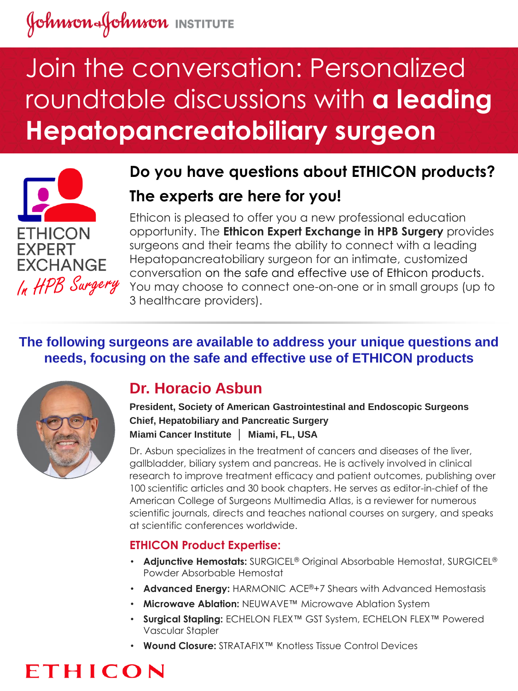# Johnson Johnson INSTITUTE

# Join the conversation: Personalized roundtable discussions with **a leading Hepatopancreatobiliary surgeon**



## **Do you have questions about ETHICON products? The experts are here for you!**

Ethicon is pleased to offer you a new professional education opportunity. The **Ethicon Expert Exchange in HPB Surgery** provides surgeons and their teams the ability to connect with a leading Hepatopancreatobiliary surgeon for an intimate, customized conversation on the safe and effective use of Ethicon products. You may choose to connect one-on-one or in small groups (up to 3 healthcare providers).

## **The following surgeons are available to address your unique questions and needs, focusing on the safe and effective use of ETHICON products**



## **Dr. Horacio Asbun**

**President, Society of American Gastrointestinal and Endoscopic Surgeons Chief, Hepatobiliary and Pancreatic Surgery Miami Cancer Institute │ Miami, FL, USA**

Dr. Asbun specializes in the treatment of cancers and diseases of the liver, gallbladder, biliary system and pancreas. He is actively involved in clinical research to improve treatment efficacy and patient outcomes, publishing over 100 scientific articles and 30 book chapters. He serves as editor-in-chief of the American College of Surgeons Multimedia Atlas, is a reviewer for numerous scientific journals, directs and teaches national courses on surgery, and speaks at scientific conferences worldwide.

### **ETHICON Product Expertise:**

- **Adjunctive Hemostats:** SURGICEL® Original Absorbable Hemostat, SURGICEL® Powder Absorbable Hemostat
- **Advanced Energy: HARMONIC ACE®+7 Shears with Advanced Hemostasis**
- **Microwave Ablation:** NEUWAVE™ Microwave Ablation System
- **Surgical Stapling:** ECHELON FLEX™ GST System, ECHELON FLEX™ Powered Vascular Stapler
- **Wound Closure:** STRATAFIX™ Knotless Tissue Control Devices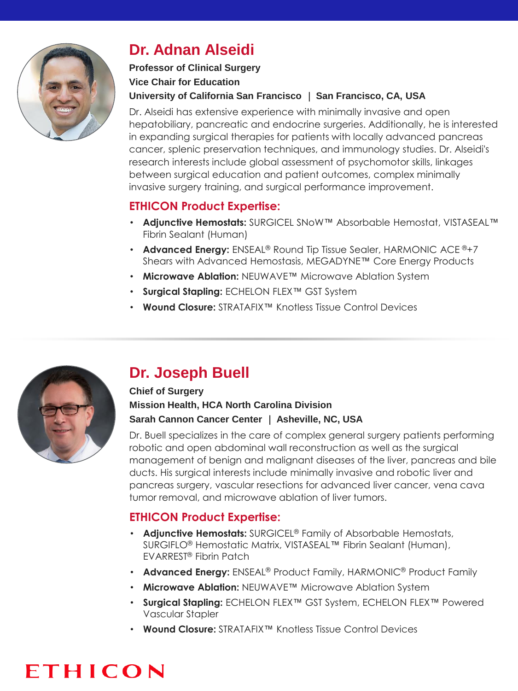

## **Dr. Adnan Alseidi**

## **Professor of Clinical Surgery Vice Chair for Education**

### **University of California San Francisco** │ **San Francisco, CA, USA**

Dr. Alseidi has extensive experience with minimally invasive and open hepatobiliary, pancreatic and endocrine surgeries. Additionally, he is interested in expanding surgical therapies for patients with locally advanced pancreas cancer, splenic preservation techniques, and immunology studies. Dr. Alseidi's research interests include global assessment of psychomotor skills, linkages between surgical education and patient outcomes, complex minimally invasive surgery training, and surgical performance improvement.

## **ETHICON Product Expertise:**

- **Adjunctive Hemostats:** SURGICEL SNoW™ Absorbable Hemostat, VISTASEAL™ Fibrin Sealant (Human)
- **Advanced Energy:** ENSEAL<sup>®</sup> Round Tip Tissue Sealer, HARMONIC ACE<sup>®+7</sup> Shears with Advanced Hemostasis, MEGADYNE™ Core Energy Products
- **Microwave Ablation:** NEUWAVE™ Microwave Ablation System
- **Surgical Stapling:** ECHELON FLEX™ GST System
- **Wound Closure:** STRATAFIX™ Knotless Tissue Control Devices



## **Dr. Joseph Buell**

### **Chief of Surgery Mission Health, HCA North Carolina Division Sarah Cannon Cancer Center** │ **Asheville, NC, USA**

Dr. Buell specializes in the care of complex general surgery patients performing robotic and open abdominal wall reconstruction as well as the surgical management of benign and malignant diseases of the liver, pancreas and bile ducts. His surgical interests include minimally invasive and robotic liver and pancreas surgery, vascular resections for advanced liver cancer, vena cava tumor removal, and microwave ablation of liver tumors.

## **ETHICON Product Expertise:**

- **Adjunctive Hemostats:** SURGICEL® Family of Absorbable Hemostats, SURGIFLO® Hemostatic Matrix, VISTASEAL™ Fibrin Sealant (Human), EVARREST® Fibrin Patch
- **Advanced Energy:** ENSEAL® Product Family, HARMONIC® Product Family
- **Microwave Ablation:** NEUWAVE™ Microwave Ablation System
- **Surgical Stapling:** ECHELON FLEX™ GST System, ECHELON FLEX™ Powered Vascular Stapler
- **Wound Closure:** STRATAFIX™ Knotless Tissue Control Devices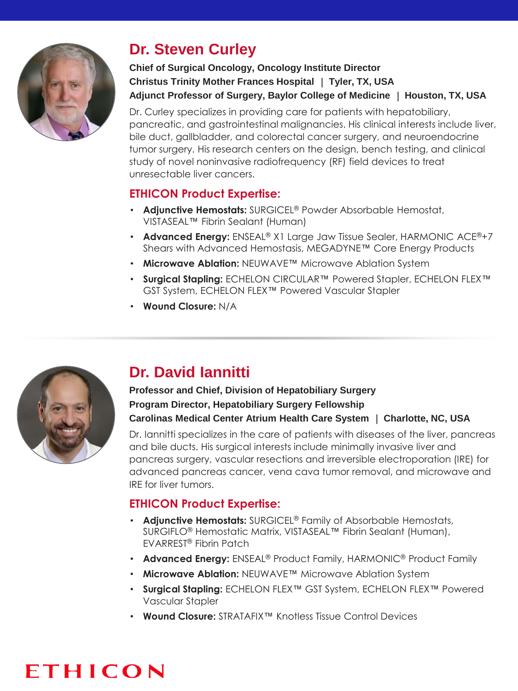

## **Dr. Steven Curley**

### **Chief of Surgical Oncology, Oncology Institute Director Christus Trinity Mother Frances Hospital** │ **Tyler, TX, USA Adjunct Professor of Surgery, Baylor College of Medicine** │ **Houston, TX, USA**

Dr. Curley specializes in providing care for patients with hepatobiliary, pancreatic, and gastrointestinal malignancies. His clinical interests include liver, bile duct, gallbladder, and colorectal cancer surgery, and neuroendocrine tumor surgery. His research centers on the design, bench testing, and clinical study of novel noninvasive radiofrequency (RF) field devices to treat unresectable liver cancers.

## **ETHICON Product Expertise:**

- **Adjunctive Hemostats:** SURGICEL® Powder Absorbable Hemostat, VISTASEAL™ Fibrin Sealant (Human)
- **Advanced Energy:** ENSEAL® X1 Large Jaw Tissue Sealer, HARMONIC ACE®+7 Shears with Advanced Hemostasis, MEGADYNE™ Core Energy Products
- **Microwave Ablation:** NEUWAVE™ Microwave Ablation System
- **Surgical Stapling:** ECHELON CIRCULAR™ Powered Stapler, ECHELON FLEX™ GST System, ECHELON FLEX™ Powered Vascular Stapler
- **Wound Closure:** N/A



## **Dr. David Iannitti**

### **Professor and Chief, Division of Hepatobiliary Surgery Program Director, Hepatobiliary Surgery Fellowship Carolinas Medical Center Atrium Health Care System** │ **Charlotte, NC, USA**

Dr. Iannitti specializes in the care of patients with diseases of the liver, pancreas and bile ducts. His surgical interests include minimally invasive liver and pancreas surgery, vascular resections and irreversible electroporation (IRE) for advanced pancreas cancer, vena cava tumor removal, and microwave and IRE for liver tumors.

## **ETHICON Product Expertise:**

- **Adjunctive Hemostats:** SURGICEL® Family of Absorbable Hemostats, SURGIFLO® Hemostatic Matrix, VISTASEAL™ Fibrin Sealant (Human), EVARREST® Fibrin Patch
- **Advanced Energy:** ENSEAL® Product Family, HARMONIC® Product Family
- **Microwave Ablation:** NEUWAVE™ Microwave Ablation System
- **Surgical Stapling:** ECHELON FLEX™ GST System, ECHELON FLEX™ Powered Vascular Stapler
- **Wound Closure:** STRATAFIX™ Knotless Tissue Control Devices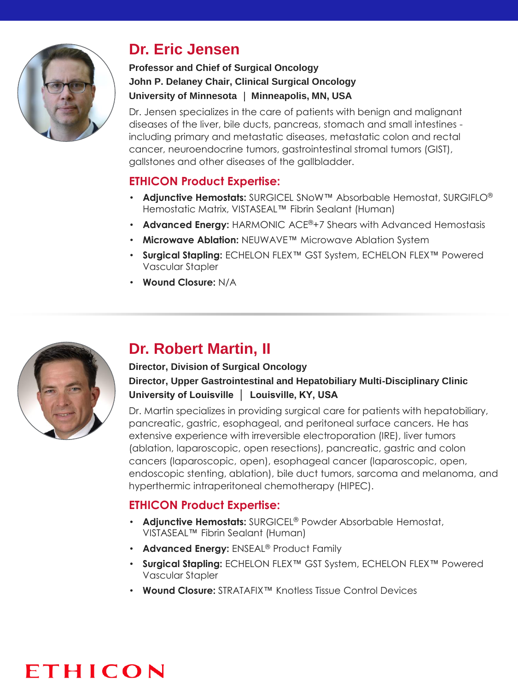

## **Dr. Eric Jensen**

### **Professor and Chief of Surgical Oncology John P. Delaney Chair, Clinical Surgical Oncology University of Minnesota** │ **Minneapolis, MN, USA**

Dr. Jensen specializes in the care of patients with benign and malignant diseases of the liver, bile ducts, pancreas, stomach and small intestines including primary and metastatic diseases, metastatic colon and rectal cancer, neuroendocrine tumors, gastrointestinal stromal tumors (GIST), gallstones and other diseases of the gallbladder.

## **ETHICON Product Expertise:**

- **Adjunctive Hemostats:** SURGICEL SNoW™ Absorbable Hemostat, SURGIFLO® Hemostatic Matrix, VISTASEAL™ Fibrin Sealant (Human)
- **Advanced Energy:** HARMONIC ACE®+7 Shears with Advanced Hemostasis
- **Microwave Ablation:** NEUWAVE™ Microwave Ablation System
- **Surgical Stapling:** ECHELON FLEX™ GST System, ECHELON FLEX™ Powered Vascular Stapler
- **Wound Closure:** N/A



## **Dr. Robert Martin, II**

### **Director, Division of Surgical Oncology Director, Upper Gastrointestinal and Hepatobiliary Multi-Disciplinary Clinic University of Louisville │ Louisville, KY, USA**

Dr. Martin specializes in providing surgical care for patients with hepatobiliary, pancreatic, gastric, esophageal, and peritoneal surface cancers. He has extensive experience with irreversible electroporation (IRE), liver tumors (ablation, laparoscopic, open resections), pancreatic, gastric and colon cancers (laparoscopic, open), esophageal cancer (laparoscopic, open, endoscopic stenting, ablation), bile duct tumors, sarcoma and melanoma, and hyperthermic intraperitoneal chemotherapy (HIPEC).

### **ETHICON Product Expertise:**

- **Adjunctive Hemostats:** SURGICEL® Powder Absorbable Hemostat, VISTASEAL™ Fibrin Sealant (Human)
- **Advanced Energy:** ENSEAL® Product Family
- **Surgical Stapling:** ECHELON FLEX™ GST System, ECHELON FLEX™ Powered Vascular Stapler
- **Wound Closure:** STRATAFIX™ Knotless Tissue Control Devices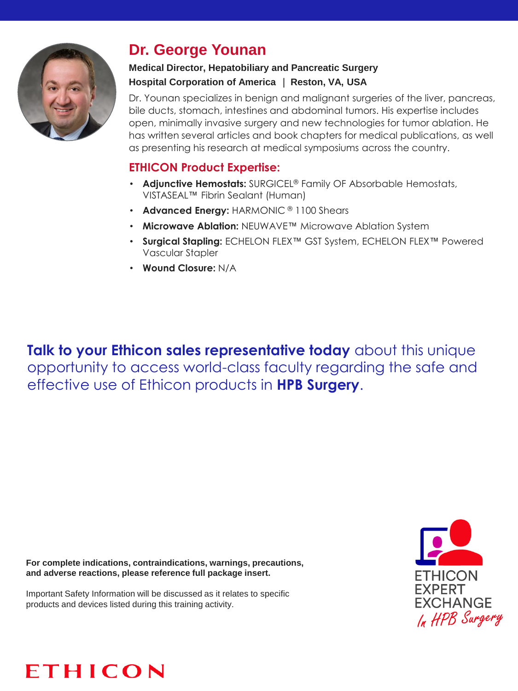

## **Dr. George Younan**

### **Medical Director, Hepatobiliary and Pancreatic Surgery Hospital Corporation of America** │ **Reston, VA, USA**

Dr. Younan specializes in benign and malignant surgeries of the liver, pancreas, bile ducts, stomach, intestines and abdominal tumors. His expertise includes open, minimally invasive surgery and new technologies for tumor ablation. He has written several articles and book chapters for medical publications, as well as presenting his research at medical symposiums across the country.

## **ETHICON Product Expertise:**

- **Adjunctive Hemostats:** SURGICEL® Family OF Absorbable Hemostats, VISTASEAL™ Fibrin Sealant (Human)
- **Advanced Energy:** HARMONIC ® 1100 Shears
- **Microwave Ablation:** NEUWAVE™ Microwave Ablation System
- **Surgical Stapling:** ECHELON FLEX™ GST System, ECHELON FLEX™ Powered Vascular Stapler
- **Wound Closure:** N/A

**Talk to your Ethicon sales representative today** about this unique opportunity to access world-class faculty regarding the safe and effective use of Ethicon products in **HPB Surgery**.

**For complete indications, contraindications, warnings, precautions, and adverse reactions, please reference full package insert.** 

Important Safety Information will be discussed as it relates to specific products and devices listed during this training activity.



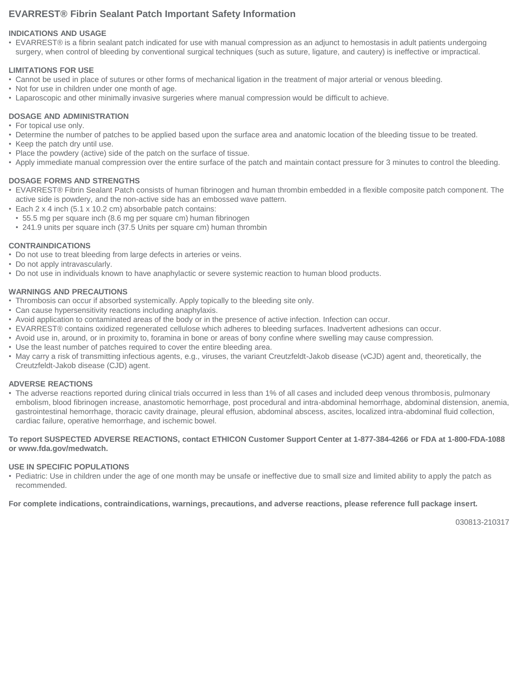#### **EVARREST® Fibrin Sealant Patch Important Safety Information**

#### **INDICATIONS AND USAGE**

• EVARREST® is a fibrin sealant patch indicated for use with manual compression as an adjunct to hemostasis in adult patients undergoing surgery, when control of bleeding by conventional surgical techniques (such as suture, ligature, and cautery) is ineffective or impractical.

#### **LIMITATIONS FOR USE**

- Cannot be used in place of sutures or other forms of mechanical ligation in the treatment of major arterial or venous bleeding.
- Not for use in children under one month of age.
- Laparoscopic and other minimally invasive surgeries where manual compression would be difficult to achieve.

#### **DOSAGE AND ADMINISTRATION**

- For topical use only.
- Determine the number of patches to be applied based upon the surface area and anatomic location of the bleeding tissue to be treated.
- Keep the patch dry until use.
- Place the powdery (active) side of the patch on the surface of tissue.
- Apply immediate manual compression over the entire surface of the patch and maintain contact pressure for 3 minutes to control the bleeding.

#### **DOSAGE FORMS AND STRENGTHS**

- EVARREST® Fibrin Sealant Patch consists of human fibrinogen and human thrombin embedded in a flexible composite patch component. The active side is powdery, and the non-active side has an embossed wave pattern.
- Each 2 x 4 inch (5.1 x 10.2 cm) absorbable patch contains:
- 55.5 mg per square inch (8.6 mg per square cm) human fibrinogen
- 241.9 units per square inch (37.5 Units per square cm) human thrombin

#### **CONTRAINDICATIONS**

- Do not use to treat bleeding from large defects in arteries or veins.
- Do not apply intravascularly.
- Do not use in individuals known to have anaphylactic or severe systemic reaction to human blood products.

#### **WARNINGS AND PRECAUTIONS**

- Thrombosis can occur if absorbed systemically. Apply topically to the bleeding site only.
- Can cause hypersensitivity reactions including anaphylaxis.
- Avoid application to contaminated areas of the body or in the presence of active infection. Infection can occur.
- EVARREST® contains oxidized regenerated cellulose which adheres to bleeding surfaces. Inadvertent adhesions can occur.
- Avoid use in, around, or in proximity to, foramina in bone or areas of bony confine where swelling may cause compression.
- Use the least number of patches required to cover the entire bleeding area.
- May carry a risk of transmitting infectious agents, e.g., viruses, the variant Creutzfeldt-Jakob disease (vCJD) agent and, theoretically, the Creutzfeldt-Jakob disease (CJD) agent.

#### **ADVERSE REACTIONS**

• The adverse reactions reported during clinical trials occurred in less than 1% of all cases and included deep venous thrombosis, pulmonary embolism, blood fibrinogen increase, anastomotic hemorrhage, post procedural and intra-abdominal hemorrhage, abdominal distension, anemia, gastrointestinal hemorrhage, thoracic cavity drainage, pleural effusion, abdominal abscess, ascites, localized intra-abdominal fluid collection, cardiac failure, operative hemorrhage, and ischemic bowel.

#### **To report SUSPECTED ADVERSE REACTIONS, contact ETHICON Customer Support Center at 1-877-384-4266 or FDA at 1-800-FDA-1088 or www.fda.gov/medwatch.**

#### **USE IN SPECIFIC POPULATIONS**

• Pediatric: Use in children under the age of one month may be unsafe or ineffective due to small size and limited ability to apply the patch as recommended.

**For complete indications, contraindications, warnings, precautions, and adverse reactions, please reference full package insert.**

030813-210317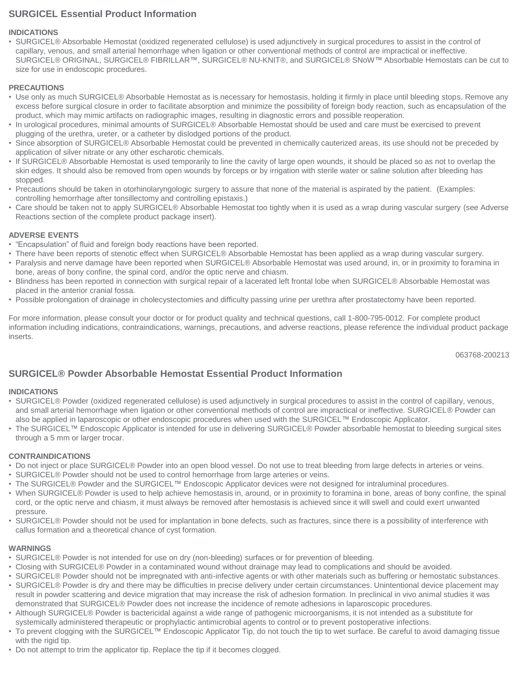#### **SURGICEL Essential Product Information**

#### **INDICATIONS**

• SURGICEL® Absorbable Hemostat (oxidized regenerated cellulose) is used adjunctively in surgical procedures to assist in the control of capillary, venous, and small arterial hemorrhage when ligation or other conventional methods of control are impractical or ineffective. SURGICEL® ORIGINAL, SURGICEL® FIBRILLAR™, SURGICEL® NU-KNIT®, and SURGICEL® SNoW™ Absorbable Hemostats can be cut to size for use in endoscopic procedures.

#### **PRECAUTIONS**

- Use only as much SURGICEL® Absorbable Hemostat as is necessary for hemostasis, holding it firmly in place until bleeding stops. Remove any excess before surgical closure in order to facilitate absorption and minimize the possibility of foreign body reaction, such as encapsulation of the product, which may mimic artifacts on radiographic images, resulting in diagnostic errors and possible reoperation.
- In urological procedures, minimal amounts of SURGICEL® Absorbable Hemostat should be used and care must be exercised to prevent plugging of the urethra, ureter, or a catheter by dislodged portions of the product.
- Since absorption of SURGICEL® Absorbable Hemostat could be prevented in chemically cauterized areas, its use should not be preceded by application of silver nitrate or any other escharotic chemicals.
- If SURGICEL® Absorbable Hemostat is used temporarily to line the cavity of large open wounds, it should be placed so as not to overlap the skin edges. It should also be removed from open wounds by forceps or by irrigation with sterile water or saline solution after bleeding has stopped.
- Precautions should be taken in otorhinolaryngologic surgery to assure that none of the material is aspirated by the patient. (Examples: controlling hemorrhage after tonsillectomy and controlling epistaxis.)
- Care should be taken not to apply SURGICEL® Absorbable Hemostat too tightly when it is used as a wrap during vascular surgery (see Adverse Reactions section of the complete product package insert).

#### **ADVERSE EVENTS**

- "Encapsulation" of fluid and foreign body reactions have been reported.
- There have been reports of stenotic effect when SURGICEL® Absorbable Hemostat has been applied as a wrap during vascular surgery.
- Paralysis and nerve damage have been reported when SURGICEL® Absorbable Hemostat was used around, in, or in proximity to foramina in bone, areas of bony confine, the spinal cord, and/or the optic nerve and chiasm.
- Blindness has been reported in connection with surgical repair of a lacerated left frontal lobe when SURGICEL® Absorbable Hemostat was placed in the anterior cranial fossa.
- Possible prolongation of drainage in cholecystectomies and difficulty passing urine per urethra after prostatectomy have been reported.

For more information, please consult your doctor or for product quality and technical questions, call 1-800-795-0012. For complete product information including indications, contraindications, warnings, precautions, and adverse reactions, please reference the individual product package inserts.

063768-200213

#### **SURGICEL® Powder Absorbable Hemostat Essential Product Information**

#### **INDICATIONS**

- SURGICEL® Powder (oxidized regenerated cellulose) is used adjunctively in surgical procedures to assist in the control of capillary, venous, and small arterial hemorrhage when ligation or other conventional methods of control are impractical or ineffective. SURGICEL® Powder can also be applied in laparoscopic or other endoscopic procedures when used with the SURGICEL™ Endoscopic Applicator.
- The SURGICEL™ Endoscopic Applicator is intended for use in delivering SURGICEL® Powder absorbable hemostat to bleeding surgical sites through a 5 mm or larger trocar.

#### **CONTRAINDICATIONS**

- Do not inject or place SURGICEL® Powder into an open blood vessel. Do not use to treat bleeding from large defects in arteries or veins.
- SURGICEL® Powder should not be used to control hemorrhage from large arteries or veins.
- The SURGICEL® Powder and the SURGICEL™ Endoscopic Applicator devices were not designed for intraluminal procedures.
- When SURGICEL® Powder is used to help achieve hemostasis in, around, or in proximity to foramina in bone, areas of bony confine, the spinal cord, or the optic nerve and chiasm, it must always be removed after hemostasis is achieved since it will swell and could exert unwanted pressure.
- SURGICEL® Powder should not be used for implantation in bone defects, such as fractures, since there is a possibility of interference with callus formation and a theoretical chance of cyst formation.

#### **WARNINGS**

- SURGICEL® Powder is not intended for use on dry (non-bleeding) surfaces or for prevention of bleeding.
- Closing with SURGICEL® Powder in a contaminated wound without drainage may lead to complications and should be avoided.
- SURGICEL® Powder should not be impregnated with anti-infective agents or with other materials such as buffering or hemostatic substances.
- SURGICEL® Powder is dry and there may be difficulties in precise delivery under certain circumstances. Unintentional device placement may result in powder scattering and device migration that may increase the risk of adhesion formation. In preclinical in vivo animal studies it was demonstrated that SURGICEL® Powder does not increase the incidence of remote adhesions in laparoscopic procedures.
- Although SURGICEL® Powder is bactericidal against a wide range of pathogenic microorganisms, it is not intended as a substitute for systemically administered therapeutic or prophylactic antimicrobial agents to control or to prevent postoperative infections.
- To prevent clogging with the SURGICEL™ Endoscopic Applicator Tip, do not touch the tip to wet surface. Be careful to avoid damaging tissue with the rigid tip.
- Do not attempt to trim the applicator tip. Replace the tip if it becomes clogged.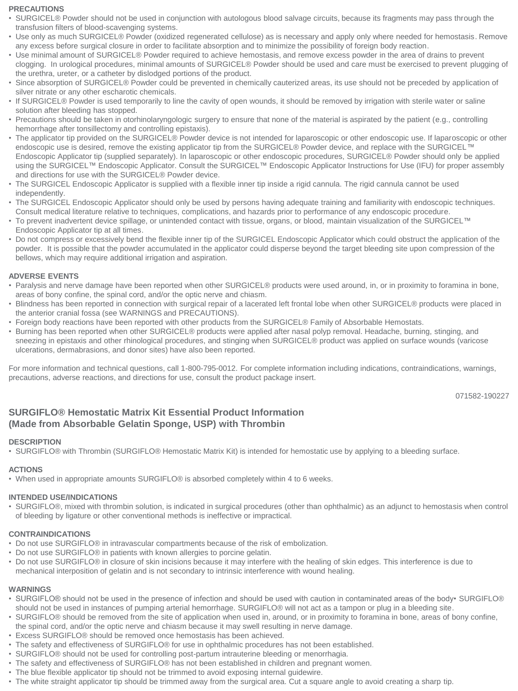#### **PRECAUTIONS**

- SURGICEL® Powder should not be used in conjunction with autologous blood salvage circuits, because its fragments may pass through the transfusion filters of blood-scavenging systems.
- Use only as much SURGICEL® Powder (oxidized regenerated cellulose) as is necessary and apply only where needed for hemostasis. Remove any excess before surgical closure in order to facilitate absorption and to minimize the possibility of foreign body reaction.
- Use minimal amount of SURGICEL® Powder required to achieve hemostasis, and remove excess powder in the area of drains to prevent clogging. In urological procedures, minimal amounts of SURGICEL® Powder should be used and care must be exercised to prevent plugging of the urethra, ureter, or a catheter by dislodged portions of the product.
- Since absorption of SURGICEL® Powder could be prevented in chemically cauterized areas, its use should not be preceded by application of silver nitrate or any other escharotic chemicals.
- If SURGICEL® Powder is used temporarily to line the cavity of open wounds, it should be removed by irrigation with sterile water or saline solution after bleeding has stopped.
- Precautions should be taken in otorhinolaryngologic surgery to ensure that none of the material is aspirated by the patient (e.g., controlling hemorrhage after tonsillectomy and controlling epistaxis).
- The applicator tip provided on the SURGICEL® Powder device is not intended for laparoscopic or other endoscopic use. If laparoscopic or other endoscopic use is desired, remove the existing applicator tip from the SURGICEL® Powder device, and replace with the SURGICEL™ Endoscopic Applicator tip (supplied separately). In laparoscopic or other endoscopic procedures, SURGICEL® Powder should only be applied using the SURGICEL™ Endoscopic Applicator. Consult the SURGICEL™ Endoscopic Applicator Instructions for Use (IFU) for proper assembly and directions for use with the SURGICEL® Powder device.
- The SURGICEL Endoscopic Applicator is supplied with a flexible inner tip inside a rigid cannula. The rigid cannula cannot be used independently.
- The SURGICEL Endoscopic Applicator should only be used by persons having adequate training and familiarity with endoscopic techniques. Consult medical literature relative to techniques, complications, and hazards prior to performance of any endoscopic procedure.
- To prevent inadvertent device spillage, or unintended contact with tissue, organs, or blood, maintain visualization of the SURGICEL™ Endoscopic Applicator tip at all times.
- Do not compress or excessively bend the flexible inner tip of the SURGICEL Endoscopic Applicator which could obstruct the application of the powder. It is possible that the powder accumulated in the applicator could disperse beyond the target bleeding site upon compression of the bellows, which may require additional irrigation and aspiration.

#### **ADVERSE EVENTS**

- Paralysis and nerve damage have been reported when other SURGICEL® products were used around, in, or in proximity to foramina in bone, areas of bony confine, the spinal cord, and/or the optic nerve and chiasm.
- Blindness has been reported in connection with surgical repair of a lacerated left frontal lobe when other SURGICEL® products were placed in the anterior cranial fossa (see WARNINGS and PRECAUTIONS).
- Foreign body reactions have been reported with other products from the SURGICEL® Family of Absorbable Hemostats.
- Burning has been reported when other SURGICEL® products were applied after nasal polyp removal. Headache, burning, stinging, and sneezing in epistaxis and other rhinological procedures, and stinging when SURGICEL® product was applied on surface wounds (varicose ulcerations, dermabrasions, and donor sites) have also been reported.

For more information and technical questions, call 1-800-795-0012. For complete information including indications, contraindications, warnings, precautions, adverse reactions, and directions for use, consult the product package insert.

071582-190227

#### **SURGIFLO® Hemostatic Matrix Kit Essential Product Information (Made from Absorbable Gelatin Sponge, USP) with Thrombin**

#### **DESCRIPTION**

• SURGIFLO® with Thrombin (SURGIFLO® Hemostatic Matrix Kit) is intended for hemostatic use by applying to a bleeding surface.

#### **ACTIONS**

• When used in appropriate amounts SURGIFLO® is absorbed completely within 4 to 6 weeks.

#### **INTENDED USE/INDICATIONS**

• SURGIFLO®, mixed with thrombin solution, is indicated in surgical procedures (other than ophthalmic) as an adjunct to hemostasis when control of bleeding by ligature or other conventional methods is ineffective or impractical.

#### **CONTRAINDICATIONS**

- Do not use SURGIFLO® in intravascular compartments because of the risk of embolization.
- Do not use SURGIFLO® in patients with known allergies to porcine gelatin.
- Do not use SURGIFLO® in closure of skin incisions because it may interfere with the healing of skin edges. This interference is due to mechanical interposition of gelatin and is not secondary to intrinsic interference with wound healing.

#### **WARNINGS**

- SURGIFLO® should not be used in the presence of infection and should be used with caution in contaminated areas of the body• SURGIFLO® should not be used in instances of pumping arterial hemorrhage. SURGIFLO® will not act as a tampon or plug in a bleeding site.
- SURGIFLO® should be removed from the site of application when used in, around, or in proximity to foramina in bone, areas of bony confine,
- the spinal cord, and/or the optic nerve and chiasm because it may swell resulting in nerve damage. • Excess SURGIFLO® should be removed once hemostasis has been achieved.
- The safety and effectiveness of SURGIFLO® for use in ophthalmic procedures has not been established.
- SURGIFLO® should not be used for controlling post-partum intrauterine bleeding or menorrhagia.
- The safety and effectiveness of SURGIFLO® has not been established in children and pregnant women.
- The blue flexible applicator tip should not be trimmed to avoid exposing internal guidewire.
- The white straight applicator tip should be trimmed away from the surgical area. Cut a square angle to avoid creating a sharp tip.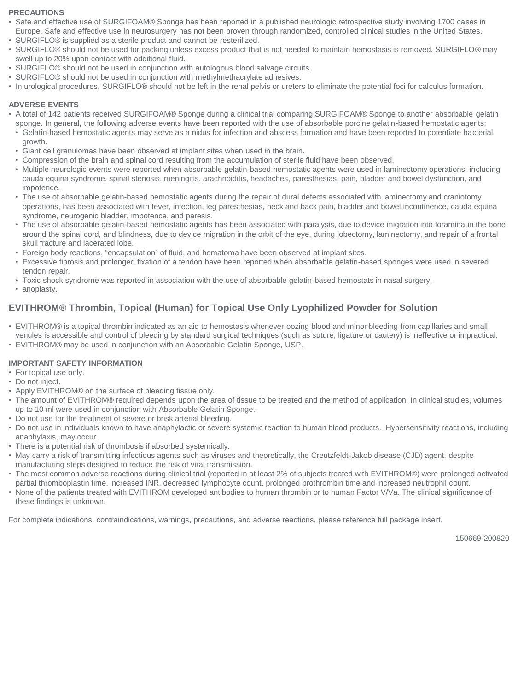#### **PRECAUTIONS**

- Safe and effective use of SURGIFOAM® Sponge has been reported in a published neurologic retrospective study involving 1700 cases in Europe. Safe and effective use in neurosurgery has not been proven through randomized, controlled clinical studies in the United States.
- SURGIFLO® is supplied as a sterile product and cannot be resterilized.
- SURGIFLO® should not be used for packing unless excess product that is not needed to maintain hemostasis is removed. SURGIFLO® may swell up to 20% upon contact with additional fluid.
- SURGIFLO® should not be used in conjunction with autologous blood salvage circuits.
- SURGIFLO® should not be used in conjunction with methylmethacrylate adhesives.
- In urological procedures, SURGIFLO® should not be left in the renal pelvis or ureters to eliminate the potential foci for calculus formation.

#### **ADVERSE EVENTS**

- A total of 142 patients received SURGIFOAM® Sponge during a clinical trial comparing SURGIFOAM® Sponge to another absorbable gelatin sponge. In general, the following adverse events have been reported with the use of absorbable porcine gelatin-based hemostatic agents:
- Gelatin-based hemostatic agents may serve as a nidus for infection and abscess formation and have been reported to potentiate bacterial growth.
- Giant cell granulomas have been observed at implant sites when used in the brain.
- Compression of the brain and spinal cord resulting from the accumulation of sterile fluid have been observed.
- Multiple neurologic events were reported when absorbable gelatin-based hemostatic agents were used in laminectomy operations, including cauda equina syndrome, spinal stenosis, meningitis, arachnoiditis, headaches, paresthesias, pain, bladder and bowel dysfunction, and impotence.
- The use of absorbable gelatin-based hemostatic agents during the repair of dural defects associated with laminectomy and craniotomy operations, has been associated with fever, infection, leg paresthesias, neck and back pain, bladder and bowel incontinence, cauda equina syndrome, neurogenic bladder, impotence, and paresis.
- The use of absorbable gelatin-based hemostatic agents has been associated with paralysis, due to device migration into foramina in the bone around the spinal cord, and blindness, due to device migration in the orbit of the eye, during lobectomy, laminectomy, and repair of a frontal skull fracture and lacerated lobe.
- Foreign body reactions, "encapsulation" of fluid, and hematoma have been observed at implant sites.
- Excessive fibrosis and prolonged fixation of a tendon have been reported when absorbable gelatin-based sponges were used in severed tendon repair.
- Toxic shock syndrome was reported in association with the use of absorbable gelatin-based hemostats in nasal surgery.
- anoplasty.

#### **EVITHROM® Thrombin, Topical (Human) for Topical Use Only Lyophilized Powder for Solution**

- EVITHROM® is a topical thrombin indicated as an aid to hemostasis whenever oozing blood and minor bleeding from capillaries and small venules is accessible and control of bleeding by standard surgical techniques (such as suture, ligature or cautery) is ineffective or impractical.
- EVITHROM® may be used in conjunction with an Absorbable Gelatin Sponge, USP.

#### **IMPORTANT SAFETY INFORMATION**

- For topical use only.
- Do not inject.
- Apply EVITHROM® on the surface of bleeding tissue only.
- The amount of EVITHROM® required depends upon the area of tissue to be treated and the method of application. In clinical studies, volumes up to 10 ml were used in conjunction with Absorbable Gelatin Sponge.
- Do not use for the treatment of severe or brisk arterial bleeding.
- Do not use in individuals known to have anaphylactic or severe systemic reaction to human blood products. Hypersensitivity reactions, including anaphylaxis, may occur.
- There is a potential risk of thrombosis if absorbed systemically.
- May carry a risk of transmitting infectious agents such as viruses and theoretically, the Creutzfeldt-Jakob disease (CJD) agent, despite manufacturing steps designed to reduce the risk of viral transmission.
- The most common adverse reactions during clinical trial (reported in at least 2% of subjects treated with EVITHROM®) were prolonged activated partial thromboplastin time, increased INR, decreased lymphocyte count, prolonged prothrombin time and increased neutrophil count.
- None of the patients treated with EVITHROM developed antibodies to human thrombin or to human Factor V/Va. The clinical significance of these findings is unknown.

For complete indications, contraindications, warnings, precautions, and adverse reactions, please reference full package insert.

150669-200820